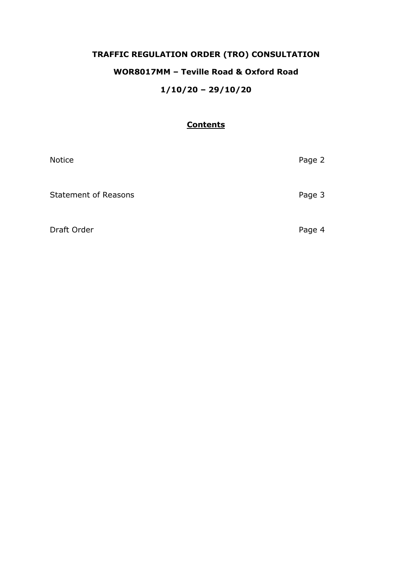# **TRAFFIC REGULATION ORDER (TRO) CONSULTATION WOR8017MM – Teville Road & Oxford Road 1/10/20 – 29/10/20**

### **Contents**

| <b>Notice</b>               | Page 2 |
|-----------------------------|--------|
| <b>Statement of Reasons</b> | Page 3 |
| Draft Order                 | Page 4 |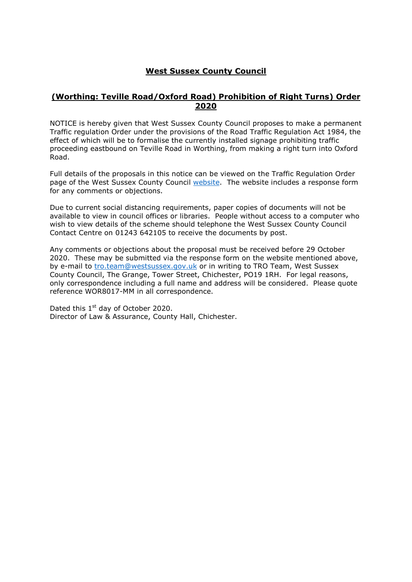# **West Sussex County Council**

#### **(Worthing: Teville Road/Oxford Road) Prohibition of Right Turns) Order 2020**

NOTICE is hereby given that West Sussex County Council proposes to make a permanent Traffic regulation Order under the provisions of the Road Traffic Regulation Act 1984, the effect of which will be to formalise the currently installed signage prohibiting traffic proceeding eastbound on Teville Road in Worthing, from making a right turn into Oxford Road.

Full details of the proposals in this notice can be viewed on the Traffic Regulation Order page of the West Sussex County Council [website.](https://www.westsussex.gov.uk/roads-and-travel/traffic-regulation-orders/) The website includes a response form for any comments or objections.

Due to current social distancing requirements, paper copies of documents will not be available to view in council offices or libraries. People without access to a computer who wish to view details of the scheme should telephone the West Sussex County Council Contact Centre on 01243 642105 to receive the documents by post.

Any comments or objections about the proposal must be received before 29 October 2020. These may be submitted via the response form on the website mentioned above, by e-mail to [tro.team@westsussex.gov.uk](mailto:tro.team@westsussex.gov.uk) or in writing to TRO Team, West Sussex County Council, The Grange, Tower Street, Chichester, PO19 1RH. For legal reasons, only correspondence including a full name and address will be considered. Please quote reference WOR8017-MM in all correspondence.

Dated this 1<sup>st</sup> day of October 2020. Director of Law & Assurance, County Hall, Chichester.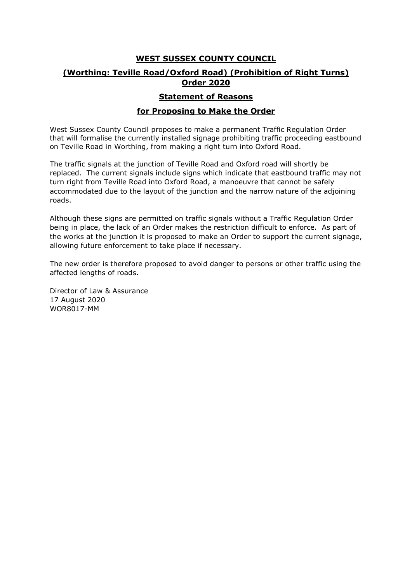# **WEST SUSSEX COUNTY COUNCIL (Worthing: Teville Road/Oxford Road) (Prohibition of Right Turns) Order 2020**

#### **Statement of Reasons**

#### **for Proposing to Make the Order**

West Sussex County Council proposes to make a permanent Traffic Regulation Order that will formalise the currently installed signage prohibiting traffic proceeding eastbound on Teville Road in Worthing, from making a right turn into Oxford Road.

The traffic signals at the junction of Teville Road and Oxford road will shortly be replaced. The current signals include signs which indicate that eastbound traffic may not turn right from Teville Road into Oxford Road, a manoeuvre that cannot be safely accommodated due to the layout of the junction and the narrow nature of the adjoining roads.

Although these signs are permitted on traffic signals without a Traffic Regulation Order being in place, the lack of an Order makes the restriction difficult to enforce. As part of the works at the junction it is proposed to make an Order to support the current signage, allowing future enforcement to take place if necessary.

The new order is therefore proposed to avoid danger to persons or other traffic using the affected lengths of roads.

Director of Law & Assurance 17 August 2020 WOR8017-MM